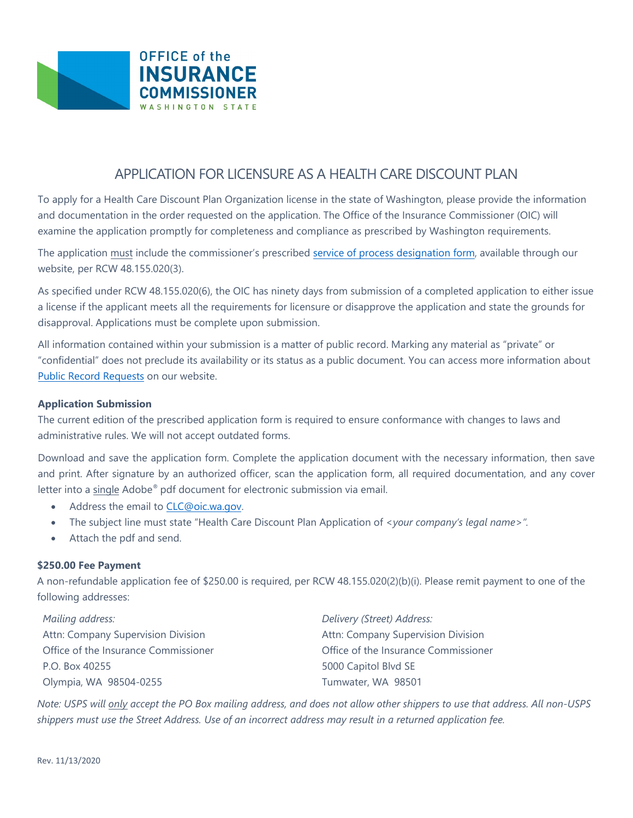

# APPLICATION FOR LICENSURE AS A HEALTH CARE DISCOUNT PLAN

To apply for a Health Care Discount Plan Organization license in the state of Washington, please provide the information and documentation in the order requested on the application. The Office of the Insurance Commissioner (OIC) will examine the application promptly for completeness and compliance as prescribed by Washington requirements.

The application must include the commissioner's prescribed service of process [designation form,](https://www.insurance.wa.gov/sites/default/files/documents/service-of-process-form.pdf) available through our website, per RCW 48.155.020(3).

As specified under RCW 48.155.020(6), the OIC has ninety days from submission of a completed application to either issue a license if the applicant meets all the requirements for licensure or disapprove the application and state the grounds for disapproval. Applications must be complete upon submission.

All information contained within your submission is a matter of public record. Marking any material as "private" or "confidential" does not preclude its availability or its status as a public document. You can access more information about Public [Record Requests](https://www.insurance.wa.gov/request-public-records) on our website.

### **Application Submission**

The current edition of the prescribed application form is required to ensure conformance with changes to laws and administrative rules. We will not accept outdated forms.

Download and save the application form. Complete the application document with the necessary information, then save and print. After signature by an authorized officer, scan the application form, all required documentation, and any cover letter into a single Adobe® pdf document for electronic submission via email.

- Address the email to [CLC@oic.wa.gov.](mailto:CLC@oic.wa.gov)
- The subject line must state "Health Care Discount Plan Application of *<your company's legal name>".*
- Attach the pdf and send.

# **\$250.00 Fee Payment**

A non-refundable application fee of \$250.00 is required, per RCW 48.155.020(2)(b)(i). Please remit payment to one of the following addresses:

*Mailing address:* Attn: Company Supervision Division Office of the Insurance Commissioner P.O. Box 40255 Olympia, WA 98504-0255

*Delivery (Street) Address:* Attn: Company Supervision Division Office of the Insurance Commissioner 5000 Capitol Blvd SE Tumwater, WA 98501

*Note: USPS will only accept the PO Box mailing address, and does not allow other shippers to use that address. All non-USPS shippers must use the Street Address. Use of an incorrect address may result in a returned application fee.*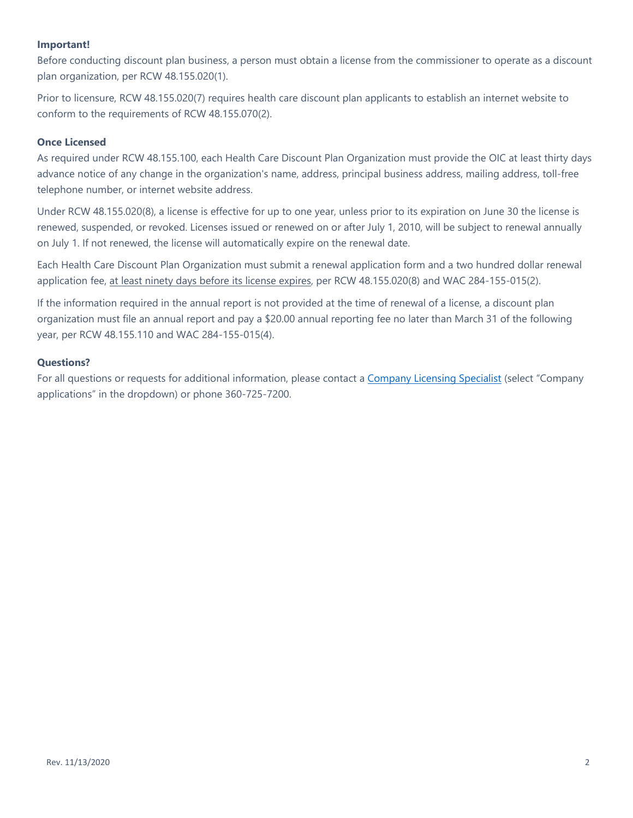# **Important!**

Before conducting discount plan business, a person must obtain a license from the commissioner to operate as a discount plan organization, per RCW 48.155.020(1).

Prior to licensure, RCW 48.155.020(7) requires health care discount plan applicants to establish an internet website to conform to the requirements of RCW 48.155.070(2).

# **Once Licensed**

As required under RCW 48.155.100, each Health Care Discount Plan Organization must provide the OIC at least thirty days advance notice of any change in the organization's name, address, principal business address, mailing address, toll-free telephone number, or internet website address.

Under RCW 48.155.020(8), a license is effective for up to one year, unless prior to its expiration on June 30 the license is renewed, suspended, or revoked. Licenses issued or renewed on or after July 1, 2010, will be subject to renewal annually on July 1. If not renewed, the license will automatically expire on the renewal date.

Each Health Care Discount Plan Organization must submit a renewal application form and a two hundred dollar renewal application fee, at least ninety days before its license expires, per RCW 48.155.020(8) and WAC 284-155-015(2).

If the information required in the annual report is not provided at the time of renewal of a license, a discount plan organization must file an annual report and pay a \$20.00 annual reporting fee no later than March 31 of the following year, per RCW 48.155.110 and WAC 284-155-015(4).

#### **Questions?**

For all questions or requests for additional information, please contact a [Company Licensing Specialist](https://www.insurance.wa.gov/contact-company-supervision) (select "Company applications" in the dropdown) or phone 360-725-7200.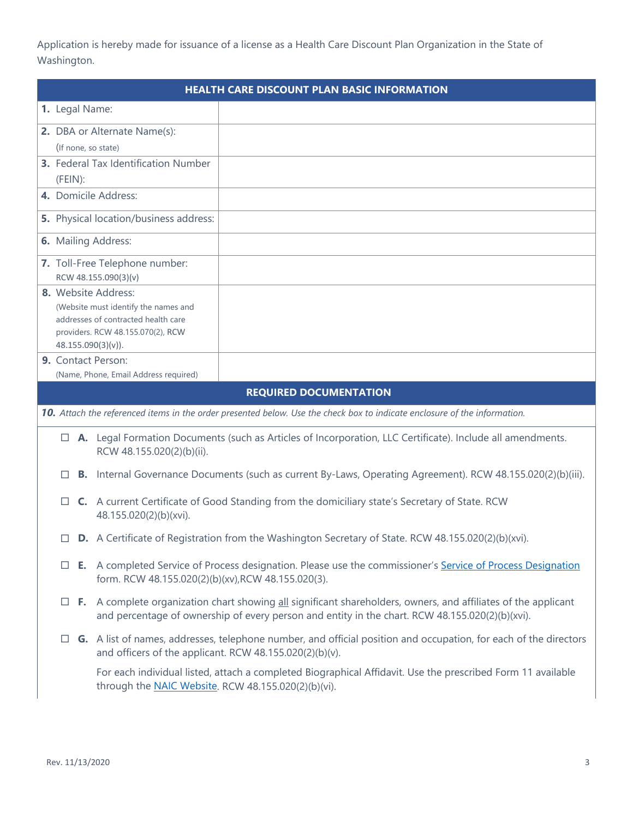Application is hereby made for issuance of a license as a Health Care Discount Plan Organization in the State of Washington.

| <b>HEALTH CARE DISCOUNT PLAN BASIC INFORMATION</b> |                                                        |                                                                                                                                                                    |                                                                                                                                                                                                                                 |                                                                                                                           |  |
|----------------------------------------------------|--------------------------------------------------------|--------------------------------------------------------------------------------------------------------------------------------------------------------------------|---------------------------------------------------------------------------------------------------------------------------------------------------------------------------------------------------------------------------------|---------------------------------------------------------------------------------------------------------------------------|--|
|                                                    |                                                        |                                                                                                                                                                    | 1. Legal Name:                                                                                                                                                                                                                  |                                                                                                                           |  |
| 2. DBA or Alternate Name(s):                       |                                                        |                                                                                                                                                                    |                                                                                                                                                                                                                                 |                                                                                                                           |  |
|                                                    | (If none, so state)                                    |                                                                                                                                                                    |                                                                                                                                                                                                                                 |                                                                                                                           |  |
|                                                    |                                                        |                                                                                                                                                                    | 3. Federal Tax Identification Number                                                                                                                                                                                            |                                                                                                                           |  |
|                                                    | (FEIN):                                                |                                                                                                                                                                    |                                                                                                                                                                                                                                 |                                                                                                                           |  |
|                                                    | 4. Domicile Address:                                   |                                                                                                                                                                    |                                                                                                                                                                                                                                 |                                                                                                                           |  |
|                                                    | 5. Physical location/business address:                 |                                                                                                                                                                    |                                                                                                                                                                                                                                 |                                                                                                                           |  |
|                                                    |                                                        |                                                                                                                                                                    | 6. Mailing Address:                                                                                                                                                                                                             |                                                                                                                           |  |
|                                                    | 7. Toll-Free Telephone number:<br>RCW 48.155.090(3)(v) |                                                                                                                                                                    |                                                                                                                                                                                                                                 |                                                                                                                           |  |
|                                                    |                                                        |                                                                                                                                                                    | 8. Website Address:                                                                                                                                                                                                             |                                                                                                                           |  |
|                                                    |                                                        |                                                                                                                                                                    | (Website must identify the names and                                                                                                                                                                                            |                                                                                                                           |  |
|                                                    |                                                        |                                                                                                                                                                    | addresses of contracted health care<br>providers. RCW 48.155.070(2), RCW                                                                                                                                                        |                                                                                                                           |  |
|                                                    |                                                        |                                                                                                                                                                    | 48.155.090(3)(v)).                                                                                                                                                                                                              |                                                                                                                           |  |
|                                                    |                                                        |                                                                                                                                                                    | 9. Contact Person:                                                                                                                                                                                                              |                                                                                                                           |  |
|                                                    |                                                        |                                                                                                                                                                    | (Name, Phone, Email Address required)                                                                                                                                                                                           |                                                                                                                           |  |
|                                                    |                                                        |                                                                                                                                                                    |                                                                                                                                                                                                                                 | <b>REQUIRED DOCUMENTATION</b>                                                                                             |  |
|                                                    |                                                        |                                                                                                                                                                    |                                                                                                                                                                                                                                 | 10. Attach the referenced items in the order presented below. Use the check box to indicate enclosure of the information. |  |
|                                                    |                                                        |                                                                                                                                                                    | RCW 48.155.020(2)(b)(ii).                                                                                                                                                                                                       | $\Box$ <b>A.</b> Legal Formation Documents (such as Articles of Incorporation, LLC Certificate). Include all amendments.  |  |
|                                                    |                                                        |                                                                                                                                                                    |                                                                                                                                                                                                                                 | B. Internal Governance Documents (such as current By-Laws, Operating Agreement). RCW 48.155.020(2)(b)(iii).               |  |
|                                                    | $\Box$                                                 |                                                                                                                                                                    | C. A current Certificate of Good Standing from the domiciliary state's Secretary of State. RCW<br>48.155.020(2)(b)(xvi).                                                                                                        |                                                                                                                           |  |
|                                                    |                                                        |                                                                                                                                                                    | D. A Certificate of Registration from the Washington Secretary of State. RCW 48.155.020(2)(b)(xvi).                                                                                                                             |                                                                                                                           |  |
|                                                    | $\Box$                                                 |                                                                                                                                                                    | E. A completed Service of Process designation. Please use the commissioner's Service of Process Designation<br>form. RCW 48.155.020(2)(b)(xv), RCW 48.155.020(3).                                                               |                                                                                                                           |  |
|                                                    |                                                        |                                                                                                                                                                    | $\Box$ F. A complete organization chart showing <u>all</u> significant shareholders, owners, and affiliates of the applicant<br>and percentage of ownership of every person and entity in the chart. RCW 48.155.020(2)(b)(xvi). |                                                                                                                           |  |
|                                                    |                                                        |                                                                                                                                                                    | $\Box$ G. A list of names, addresses, telephone number, and official position and occupation, for each of the directors<br>and officers of the applicant. RCW 48.155.020(2)(b)(v).                                              |                                                                                                                           |  |
|                                                    |                                                        | For each individual listed, attach a completed Biographical Affidavit. Use the prescribed Form 11 available<br>through the NAIC Website. RCW 48.155.020(2)(b)(vi). |                                                                                                                                                                                                                                 |                                                                                                                           |  |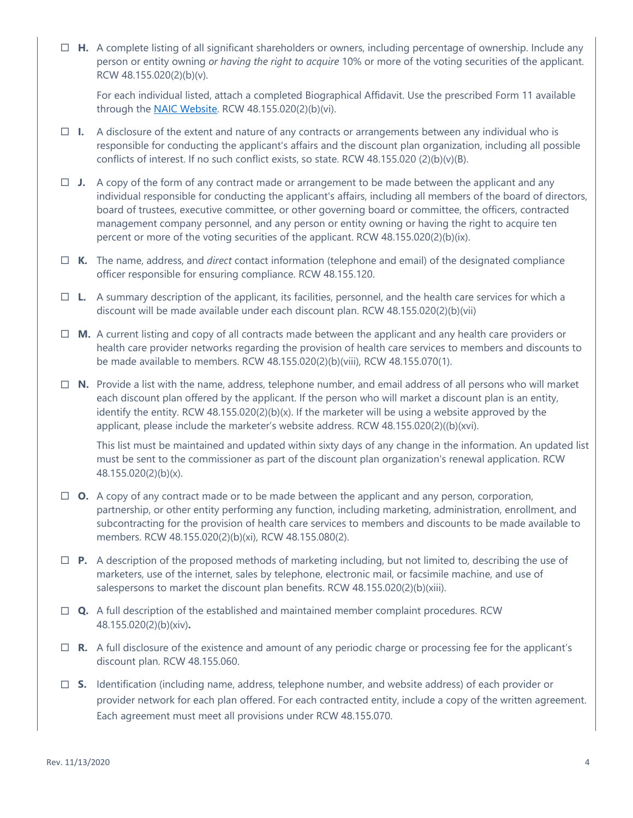**H.** A complete listing of all significant shareholders or owners, including percentage of ownership. Include any person or entity owning *or having the right to acquire* 10% or more of the voting securities of the applicant. RCW 48.155.020(2)(b)(v).

For each individual listed, attach a completed Biographical Affidavit. Use the prescribed Form 11 available through the [NAIC Website.](http://www.naic.org/industry_ucaa.htm) RCW 48.155.020(2)(b)(vi).

- $\Box$  **I.** A disclosure of the extent and nature of any contracts or arrangements between any individual who is responsible for conducting the applicant's affairs and the discount plan organization, including all possible conflicts of interest. If no such conflict exists, so state. RCW 48.155.020 (2)(b)(v)(B).
- $\Box$  **J.** A copy of the form of any contract made or arrangement to be made between the applicant and any individual responsible for conducting the applicant's affairs, including all members of the board of directors, board of trustees, executive committee, or other governing board or committee, the officers, contracted management company personnel, and any person or entity owning or having the right to acquire ten percent or more of the voting securities of the applicant. RCW 48.155.020(2)(b)(ix).
- **K.** The name, address, and *direct* contact information (telephone and email) of the designated compliance officer responsible for ensuring compliance. RCW 48.155.120.
- **L.** A summary description of the applicant, its facilities, personnel, and the health care services for which a discount will be made available under each discount plan. RCW 48.155.020(2)(b)(vii)
- **M.** A current listing and copy of all contracts made between the applicant and any health care providers or health care provider networks regarding the provision of health care services to members and discounts to be made available to members. RCW 48.155.020(2)(b)(viii), RCW 48.155.070(1).
- **N.** Provide a list with the name, address, telephone number, and email address of all persons who will market each discount plan offered by the applicant. If the person who will market a discount plan is an entity, identify the entity. RCW 48.155.020(2)(b)(x). If the marketer will be using a website approved by the applicant, please include the marketer's website address. RCW 48.155.020(2)((b)(xvi).

This list must be maintained and updated within sixty days of any change in the information. An updated list must be sent to the commissioner as part of the discount plan organization's renewal application. RCW 48.155.020(2)(b)(x).

- $\Box$  **O.** A copy of any contract made or to be made between the applicant and any person, corporation, partnership, or other entity performing any function, including marketing, administration, enrollment, and subcontracting for the provision of health care services to members and discounts to be made available to members. RCW 48.155.020(2)(b)(xi), RCW 48.155.080(2).
- **P.** A description of the proposed methods of marketing including, but not limited to, describing the use of marketers, use of the internet, sales by telephone, electronic mail, or facsimile machine, and use of salespersons to market the discount plan benefits. RCW 48.155.020(2)(b)(xiii).
- **Q.** A full description of the established and maintained member complaint procedures. RCW 48.155.020(2)(b)(xiv)**.**
- **R.** A full disclosure of the existence and amount of any periodic charge or processing fee for the applicant's discount plan. RCW 48.155.060.
- **S.** Identification (including name, address, telephone number, and website address) of each provider or provider network for each plan offered. For each contracted entity, include a copy of the written agreement. Each agreement must meet all provisions under RCW 48.155.070.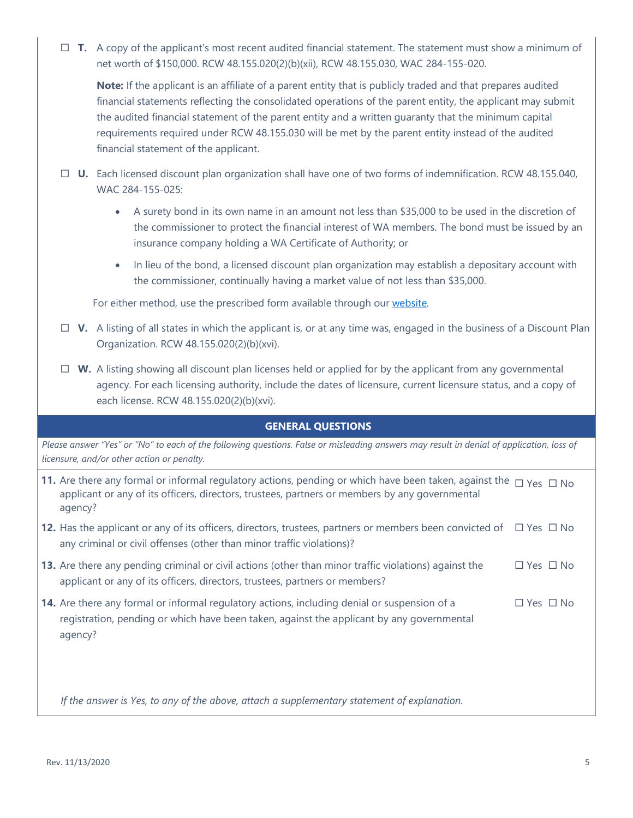**T.** A copy of the applicant's most recent audited financial statement. The statement must show a minimum of net worth of \$150,000. RCW 48.155.020(2)(b)(xii), RCW 48.155.030, WAC 284-155-020.

**Note:** If the applicant is an affiliate of a parent entity that is publicly traded and that prepares audited financial statements reflecting the consolidated operations of the parent entity, the applicant may submit the audited financial statement of the parent entity and a written guaranty that the minimum capital requirements required under RCW 48.155.030 will be met by the parent entity instead of the audited financial statement of the applicant.

- **U.** Each licensed discount plan organization shall have one of two forms of indemnification. RCW 48.155.040, WAC 284-155-025:
	- A surety bond in its own name in an amount not less than \$35,000 to be used in the discretion of the commissioner to protect the financial interest of WA members. The bond must be issued by an insurance company holding a WA Certificate of Authority; or
	- In lieu of the bond, a licensed discount plan organization may establish a depositary account with the commissioner, continually having a market value of not less than \$35,000.

For either method, use the prescribed form available through our [website](https://www.insurance.wa.gov/discount-plan-organization-0)*.* 

- $\Box$  V. A listing of all states in which the applicant is, or at any time was, engaged in the business of a Discount Plan Organization. RCW 48.155.020(2)(b)(xvi).
- $\Box$  **W.** A listing showing all discount plan licenses held or applied for by the applicant from any governmental agency. For each licensing authority, include the dates of licensure, current licensure status, and a copy of each license. RCW 48.155.020(2)(b)(xvi).

# **GENERAL QUESTIONS**

*Please answer "Yes" or "No" to each of the following questions. False or misleading answers may result in denial of application, loss of licensure, and/or other action or penalty.*

| 11. Are there any formal or informal regulatory actions, pending or which have been taken, against the $\Box$ Yes $\Box$ No<br>applicant or any of its officers, directors, trustees, partners or members by any governmental<br>agency? |                      |  |
|------------------------------------------------------------------------------------------------------------------------------------------------------------------------------------------------------------------------------------------|----------------------|--|
| <b>12.</b> Has the applicant or any of its officers, directors, trustees, partners or members been convicted of $\Box$ Yes $\Box$ No<br>any criminal or civil offenses (other than minor traffic violations)?                            |                      |  |
| <b>13.</b> Are there any pending criminal or civil actions (other than minor traffic violations) against the<br>applicant or any of its officers, directors, trustees, partners or members?                                              | $\Box$ Yes $\Box$ No |  |
| 14. Are there any formal or informal regulatory actions, including denial or suspension of a<br>registration, pending or which have been taken, against the applicant by any governmental<br>agency?                                     | $\Box$ Yes $\Box$ No |  |

*If the answer is Yes, to any of the above, attach a supplementary statement of explanation.*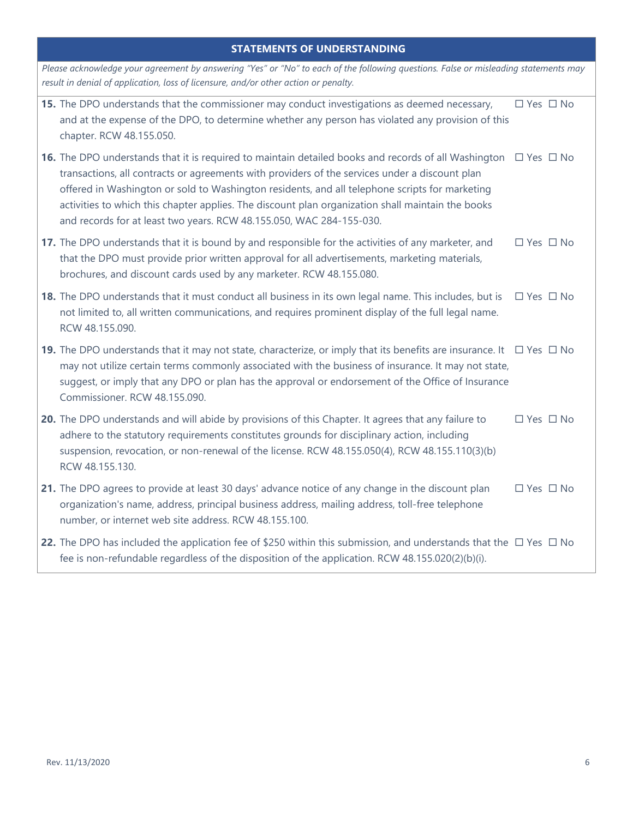|  | <b>STATEMENTS OF UNDERSTANDING</b> |  |
|--|------------------------------------|--|
|  |                                    |  |

| Please acknowledge your agreement by answering "Yes" or "No" to each of the following questions. False or misleading statements may<br>result in denial of application, loss of licensure, and/or other action or penalty.                                                                                                                                                                                                                                                                                        |                      |  |  |  |
|-------------------------------------------------------------------------------------------------------------------------------------------------------------------------------------------------------------------------------------------------------------------------------------------------------------------------------------------------------------------------------------------------------------------------------------------------------------------------------------------------------------------|----------------------|--|--|--|
| 15. The DPO understands that the commissioner may conduct investigations as deemed necessary,<br>and at the expense of the DPO, to determine whether any person has violated any provision of this<br>chapter. RCW 48.155.050.                                                                                                                                                                                                                                                                                    | $\Box$ Yes $\Box$ No |  |  |  |
| <b>16.</b> The DPO understands that it is required to maintain detailed books and records of all Washington $\Box$ Yes $\Box$ No<br>transactions, all contracts or agreements with providers of the services under a discount plan<br>offered in Washington or sold to Washington residents, and all telephone scripts for marketing<br>activities to which this chapter applies. The discount plan organization shall maintain the books<br>and records for at least two years. RCW 48.155.050, WAC 284-155-030. |                      |  |  |  |
| 17. The DPO understands that it is bound by and responsible for the activities of any marketer, and<br>that the DPO must provide prior written approval for all advertisements, marketing materials,<br>brochures, and discount cards used by any marketer. RCW 48.155.080.                                                                                                                                                                                                                                       | $\Box$ Yes $\Box$ No |  |  |  |
| 18. The DPO understands that it must conduct all business in its own legal name. This includes, but is<br>not limited to, all written communications, and requires prominent display of the full legal name.<br>RCW 48.155.090.                                                                                                                                                                                                                                                                                   | $\Box$ Yes $\Box$ No |  |  |  |
| 19. The DPO understands that it may not state, characterize, or imply that its benefits are insurance. It $\Box$ Yes $\Box$ No<br>may not utilize certain terms commonly associated with the business of insurance. It may not state,<br>suggest, or imply that any DPO or plan has the approval or endorsement of the Office of Insurance<br>Commissioner. RCW 48.155.090.                                                                                                                                       |                      |  |  |  |
| 20. The DPO understands and will abide by provisions of this Chapter. It agrees that any failure to<br>adhere to the statutory requirements constitutes grounds for disciplinary action, including<br>suspension, revocation, or non-renewal of the license. RCW 48.155.050(4), RCW 48.155.110(3)(b)<br>RCW 48.155.130.                                                                                                                                                                                           | $\Box$ Yes $\Box$ No |  |  |  |
| 21. The DPO agrees to provide at least 30 days' advance notice of any change in the discount plan<br>organization's name, address, principal business address, mailing address, toll-free telephone<br>number, or internet web site address. RCW 48.155.100.                                                                                                                                                                                                                                                      | $\Box$ Yes $\Box$ No |  |  |  |
| 22. The DPO has included the application fee of \$250 within this submission, and understands that the $\Box$ Yes $\Box$ No<br>fee is non-refundable regardless of the disposition of the application. RCW 48.155.020(2)(b)(i).                                                                                                                                                                                                                                                                                   |                      |  |  |  |